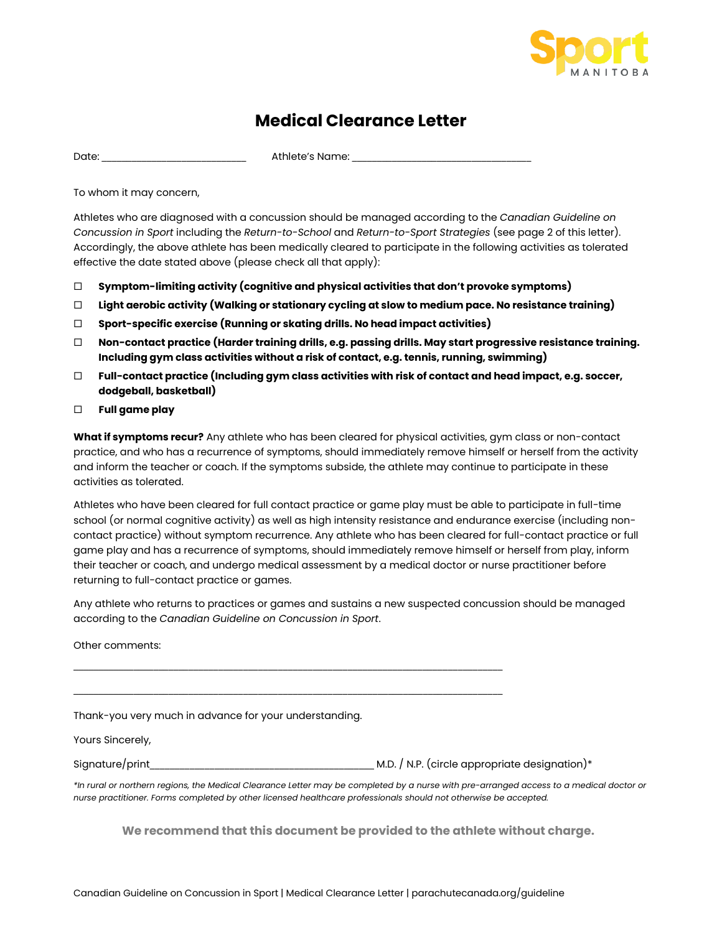

## **Medical Clearance Letter**

Date: \_\_\_\_\_\_\_\_\_\_\_\_\_\_\_\_\_\_\_\_\_\_\_\_\_\_\_\_\_ Athlete's Name: \_\_\_\_\_\_\_\_\_\_\_\_\_\_\_\_\_\_\_\_\_\_\_\_\_\_\_\_\_\_\_\_\_\_\_\_

To whom it may concern,

Athletes who are diagnosed with a concussion should be managed according to the *Canadian Guideline on Concussion in Sport* including the *Return-to-School* and *Return-to-Sport Strategies* (see page 2 of this letter). Accordingly, the above athlete has been medically cleared to participate in the following activities as tolerated effective the date stated above (please check all that apply):

- **Symptom-limiting activity (cognitive and physical activities that don't provoke symptoms)**
- **Light aerobic activity (Walking or stationary cycling at slow to medium pace. No resistance training)**
- **Sport-specific exercise (Running or skating drills. No head impact activities)**
- **Non-contact practice (Harder training drills, e.g. passing drills. May start progressive resistance training. Including gym class activities without a risk of contact, e.g. tennis, running, swimming)**
- **Full-contact practice (Including gym class activities with risk of contact and head impact, e.g. soccer, dodgeball, basketball)**
- **Full game play**

**What if symptoms recur?** Any athlete who has been cleared for physical activities, gym class or non-contact practice, and who has a recurrence of symptoms, should immediately remove himself or herself from the activity and inform the teacher or coach. If the symptoms subside, the athlete may continue to participate in these activities as tolerated.

Athletes who have been cleared for full contact practice or game play must be able to participate in full-time school (or normal cognitive activity) as well as high intensity resistance and endurance exercise (including noncontact practice) without symptom recurrence. Any athlete who has been cleared for full-contact practice or full game play and has a recurrence of symptoms, should immediately remove himself or herself from play, inform their teacher or coach, and undergo medical assessment by a medical doctor or nurse practitioner before returning to full-contact practice or games.

Any athlete who returns to practices or games and sustains a new suspected concussion should be managed according to the *Canadian Guideline on Concussion in Sport*.

Other comments:

Thank-you very much in advance for your understanding.

Yours Sincerely,

Signature/print\_\_\_\_\_\_\_\_\_\_\_\_\_\_\_\_\_\_\_\_\_\_\_\_\_\_\_\_\_\_\_\_\_\_\_\_\_\_\_\_\_\_\_\_\_ M.D. / N.P. (circle appropriate designation)\*

\_\_\_\_\_\_\_\_\_\_\_\_\_\_\_\_\_\_\_\_\_\_\_\_\_\_\_\_\_\_\_\_\_\_\_\_\_\_\_\_\_\_\_\_\_\_\_\_\_\_\_\_\_\_\_\_\_\_\_\_\_\_\_\_\_\_\_\_\_\_\_\_\_\_\_\_\_\_\_\_\_\_\_\_\_\_

\_\_\_\_\_\_\_\_\_\_\_\_\_\_\_\_\_\_\_\_\_\_\_\_\_\_\_\_\_\_\_\_\_\_\_\_\_\_\_\_\_\_\_\_\_\_\_\_\_\_\_\_\_\_\_\_\_\_\_\_\_\_\_\_\_\_\_\_\_\_\_\_\_\_\_\_\_\_\_\_\_\_\_\_\_\_

*\*In rural or northern regions, the Medical Clearance Letter may be completed by a nurse with pre-arranged access to a medical doctor or nurse practitioner. Forms completed by other licensed healthcare professionals should not otherwise be accepted.*

**We recommend that this document be provided to the athlete without charge.**